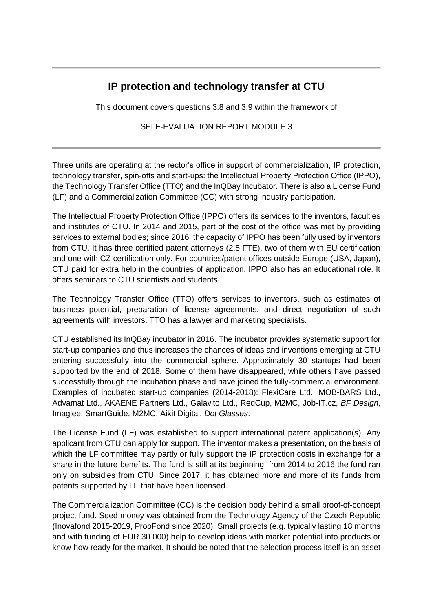## **IP protection and technology transfer at CTU**

This document covers questions 3.8 and 3.9 within the framework of

SELF-EVALUATION REPORT MODULE 3

Three units are operating at the rector's office in support of commercialization, IP protection, technology transfer, spin-offs and start-ups: the Intellectual Property Protection Office (IPPO), the Technology Transfer Office (TTO) and the InQBay Incubator. There is also a License Fund (LF) and a Commercialization Committee (CC) with strong industry participation.

The Intellectual Property Protection Office (IPPO) offers its services to the inventors, faculties and institutes of CTU. In 2014 and 2015, part of the cost of the office was met by providing services to external bodies; since 2016, the capacity of IPPO has been fully used by inventors from CTU. It has three certified patent attorneys (2.5 FTE), two of them with EU certification and one with CZ certification only. For countries/patent offices outside Europe (USA, Japan), CTU paid for extra help in the countries of application. IPPO also has an educational role. It offers seminars to CTU scientists and students.

The Technology Transfer Office (TTO) offers services to inventors, such as estimates of business potential, preparation of license agreements, and direct negotiation of such agreements with investors. TTO has a lawyer and marketing specialists.

CTU established its InQBay incubator in 2016. The incubator provides systematic support for start-up companies and thus increases the chances of ideas and inventions emerging at CTU entering successfully into the commercial sphere. Approximately 30 startups had been supported by the end of 2018. Some of them have disappeared, while others have passed successfully through the incubation phase and have joined the fully-commercial environment. Examples of incubated start-up companies (2014-2018): FlexiCare Ltd., MOB-BARS Ltd., Advamat Ltd., AKAENE Partners Ltd., Galavito Ltd., RedCup, M2MC, Job-IT.cz, *BF Design*, Imaglee, SmartGuide, M2MC, Aikit Digital, *Dot Glasses*.

The License Fund (LF) was established to support international patent application(s). Any applicant from CTU can apply for support. The inventor makes a presentation, on the basis of which the LF committee may partly or fully support the IP protection costs in exchange for a share in the future benefits. The fund is still at its beginning; from 2014 to 2016 the fund ran only on subsidies from CTU. Since 2017, it has obtained more and more of its funds from patents supported by LF that have been licensed.

The Commercialization Committee (CC) is the decision body behind a small proof-of-concept project fund. Seed money was obtained from the Technology Agency of the Czech Republic (Inovafond 2015-2019, ProoFond since 2020). Small projects (e.g. typically lasting 18 months and with funding of EUR 30 000) help to develop ideas with market potential into products or know-how ready for the market. It should be noted that the selection process itself is an asset